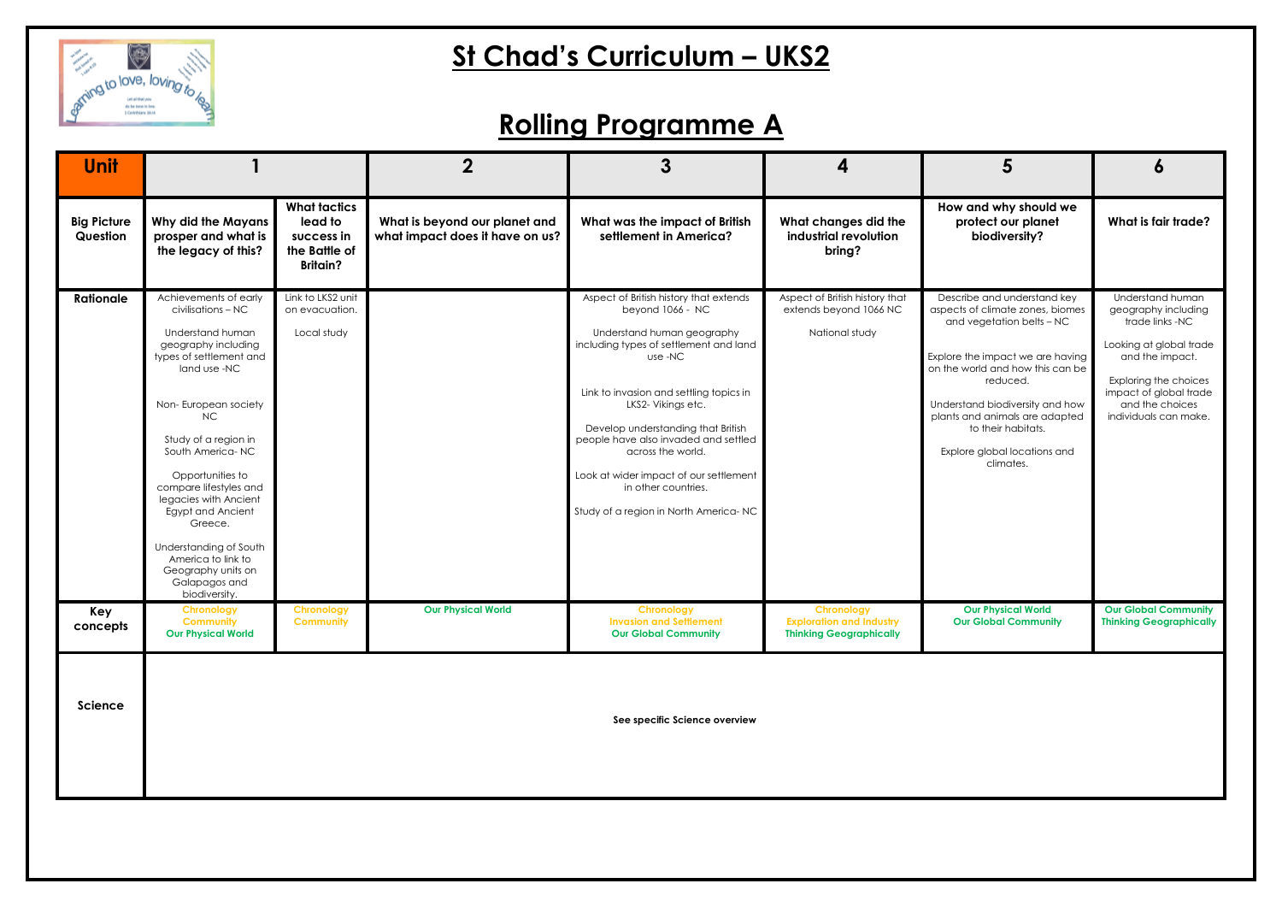

## **Rolling Programme A**

| <b>Unit</b>                    |                                                                                                                                                                                                                                                                                                                                                                                                                            |                                                                                  | $\overline{2}$                                                   | 3                                                                                                                                                                                                                                                                                                                                                                                                                           | 4                                                                               | 5                                                                                                                                                                                                                                                                                                                        | Ô                                                                                                                                                                                                       |
|--------------------------------|----------------------------------------------------------------------------------------------------------------------------------------------------------------------------------------------------------------------------------------------------------------------------------------------------------------------------------------------------------------------------------------------------------------------------|----------------------------------------------------------------------------------|------------------------------------------------------------------|-----------------------------------------------------------------------------------------------------------------------------------------------------------------------------------------------------------------------------------------------------------------------------------------------------------------------------------------------------------------------------------------------------------------------------|---------------------------------------------------------------------------------|--------------------------------------------------------------------------------------------------------------------------------------------------------------------------------------------------------------------------------------------------------------------------------------------------------------------------|---------------------------------------------------------------------------------------------------------------------------------------------------------------------------------------------------------|
| <b>Big Picture</b><br>Question | <b>Why did the Mayans</b><br>prosper and what is<br>the legacy of this?                                                                                                                                                                                                                                                                                                                                                    | <b>What tactics</b><br>lead to<br>success in<br>the Battle of<br><b>Britain?</b> | What is beyond our planet and<br>what impact does it have on us? | What was the impact of British<br>settlement in America?                                                                                                                                                                                                                                                                                                                                                                    | What changes did the<br>industrial revolution<br>bring?                         | How and why should we<br>protect our planet<br>biodiversity?                                                                                                                                                                                                                                                             | What is fair trade?                                                                                                                                                                                     |
| <b>Rationale</b>               | Achievements of early<br>civilisations - NC<br>Understand human<br>geography including<br>types of settlement and<br>land use -NC<br>Non-European society<br>NC<br>Study of a region in<br>South America-NC<br>Opportunities to<br>compare lifestyles and<br>legacies with Ancient<br>Egypt and Ancient<br>Greece.<br>Understanding of South<br>America to link to<br>Geography units on<br>Galapagos and<br>biodiversity. | Link to LKS2 unit<br>on evacuation.<br>Local study                               |                                                                  | Aspect of British history that extends<br>beyond 1066 - NC<br>Understand human geography<br>including types of settlement and land<br>use -NC<br>Link to invasion and settling topics in<br>LKS2- Vikings etc.<br>Develop understanding that British<br>people have also invaded and settled<br>across the world.<br>Look at wider impact of our settlement<br>in other countries.<br>Study of a region in North America-NC | Aspect of British history that<br>extends beyond 1066 NC<br>National study      | Describe and understand key<br>aspects of climate zones, biomes<br>and vegetation belts - NC<br>Explore the impact we are having<br>on the world and how this can be<br>reduced.<br>Understand biodiversity and how<br>plants and animals are adapted<br>to their habitats.<br>Explore global locations and<br>climates. | Understand human<br>geography including<br>trade links -NC<br>Looking at global trade<br>and the impact.<br>Exploring the choices<br>impact of global trade<br>and the choices<br>individuals can make. |
| Key<br>concepts                | Chronology<br><b>Community</b><br><b>Our Physical World</b>                                                                                                                                                                                                                                                                                                                                                                | <b>Chronology</b><br><b>Community</b>                                            | <b>Our Physical World</b>                                        | <b>Chronology</b><br><b>Invasion and Settlement</b><br><b>Our Global Community</b>                                                                                                                                                                                                                                                                                                                                          | Chronology<br><b>Exploration and Industry</b><br><b>Thinking Geographically</b> | <b>Our Physical World</b><br><b>Our Global Community</b>                                                                                                                                                                                                                                                                 | <b>Our Global Community</b><br><b>Thinking Geographically</b>                                                                                                                                           |
| <b>Science</b>                 | See specific Science overview                                                                                                                                                                                                                                                                                                                                                                                              |                                                                                  |                                                                  |                                                                                                                                                                                                                                                                                                                                                                                                                             |                                                                                 |                                                                                                                                                                                                                                                                                                                          |                                                                                                                                                                                                         |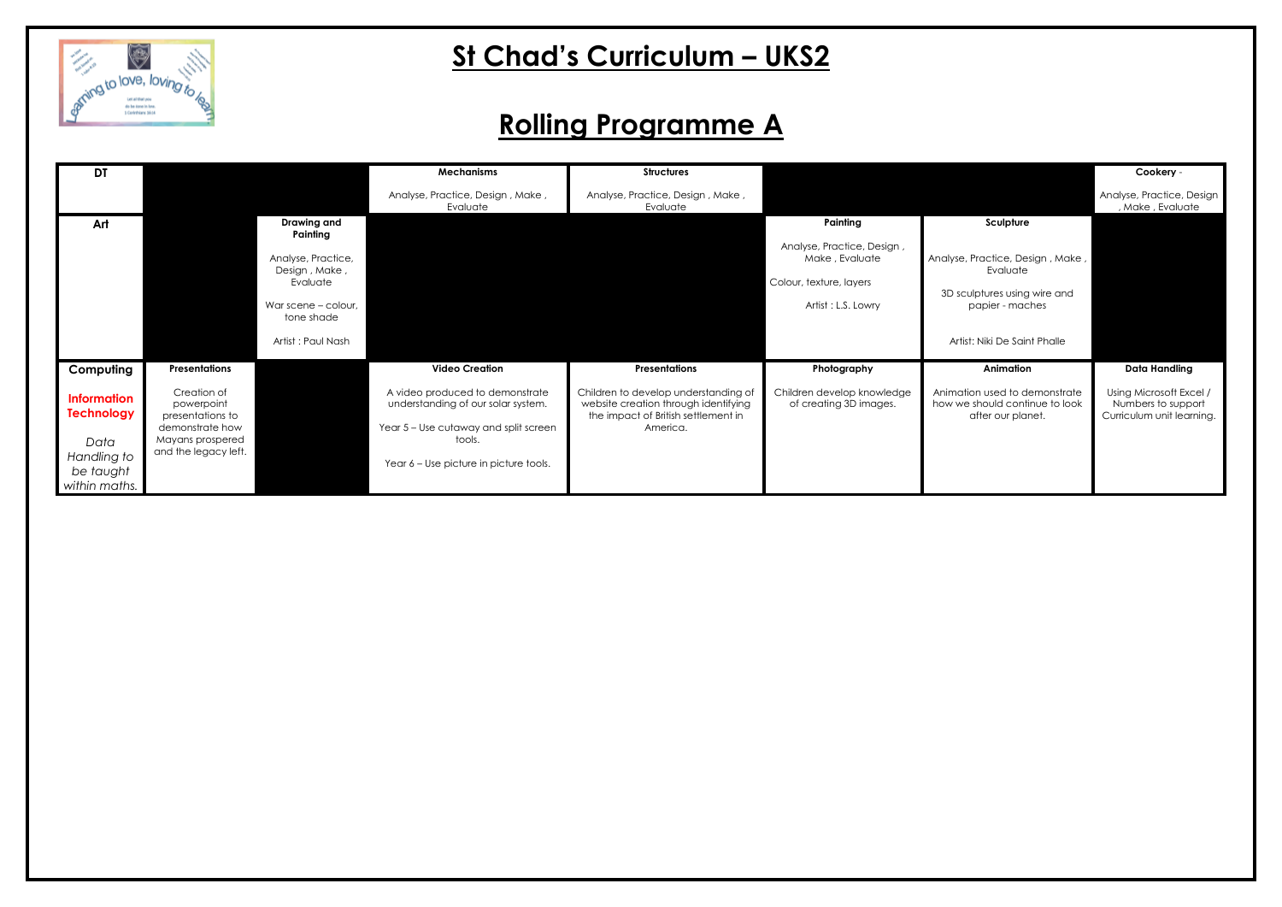

## **Rolling Programme A**

| <b>DT</b>                                                                                    |                                                                                                              |                                                                                                                                      | <b>Mechanisms</b>                                                                                                                                                  | <b>Structures</b>                                                                                                               |                                                                                                           |                                                                                                                                             | Cookery -                                                                  |
|----------------------------------------------------------------------------------------------|--------------------------------------------------------------------------------------------------------------|--------------------------------------------------------------------------------------------------------------------------------------|--------------------------------------------------------------------------------------------------------------------------------------------------------------------|---------------------------------------------------------------------------------------------------------------------------------|-----------------------------------------------------------------------------------------------------------|---------------------------------------------------------------------------------------------------------------------------------------------|----------------------------------------------------------------------------|
|                                                                                              |                                                                                                              |                                                                                                                                      | Analyse, Practice, Design, Make,<br>Evaluate                                                                                                                       | Analyse, Practice, Design, Make,<br>Evaluate                                                                                    |                                                                                                           |                                                                                                                                             | Analyse, Practice, Design<br>, Make, Evaluate                              |
| Art                                                                                          |                                                                                                              | Drawing and<br>Paintina<br>Analyse, Practice,<br>Design, Make,<br>Evaluate<br>War scene - colour,<br>tone shade<br>Artist: Paul Nash |                                                                                                                                                                    |                                                                                                                                 | Painting<br>Analyse, Practice, Design,<br>Make, Evaluate<br>Colour, texture, layers<br>Artist: L.S. Lowry | Sculpture<br>Analyse, Practice, Design, Make<br>Evaluate<br>3D sculptures using wire and<br>papier - maches<br>Artist: Niki De Saint Phalle |                                                                            |
| Computing                                                                                    | <b>Presentations</b>                                                                                         |                                                                                                                                      | <b>Video Creation</b>                                                                                                                                              | <b>Presentations</b>                                                                                                            | Photography                                                                                               | Animation                                                                                                                                   | <b>Data Handling</b>                                                       |
| <b>Information</b><br><b>Technology</b><br>Data<br>Handling to<br>be taught<br>within maths. | Creation of<br>powerpoint<br>presentations to<br>demonstrate how<br>Mayans prospered<br>and the legacy left. |                                                                                                                                      | A video produced to demonstrate<br>understanding of our solar system.<br>Year 5 - Use cutaway and split screen<br>tools.<br>Year 6 – Use picture in picture tools. | Children to develop understanding of<br>website creation through identifying<br>the impact of British settlement in<br>America. | Children develop knowledge<br>of creating 3D images.                                                      | Animation used to demonstrate<br>how we should continue to look<br>after our planet.                                                        | Using Microsoft Excel /<br>Numbers to support<br>Curriculum unit learning. |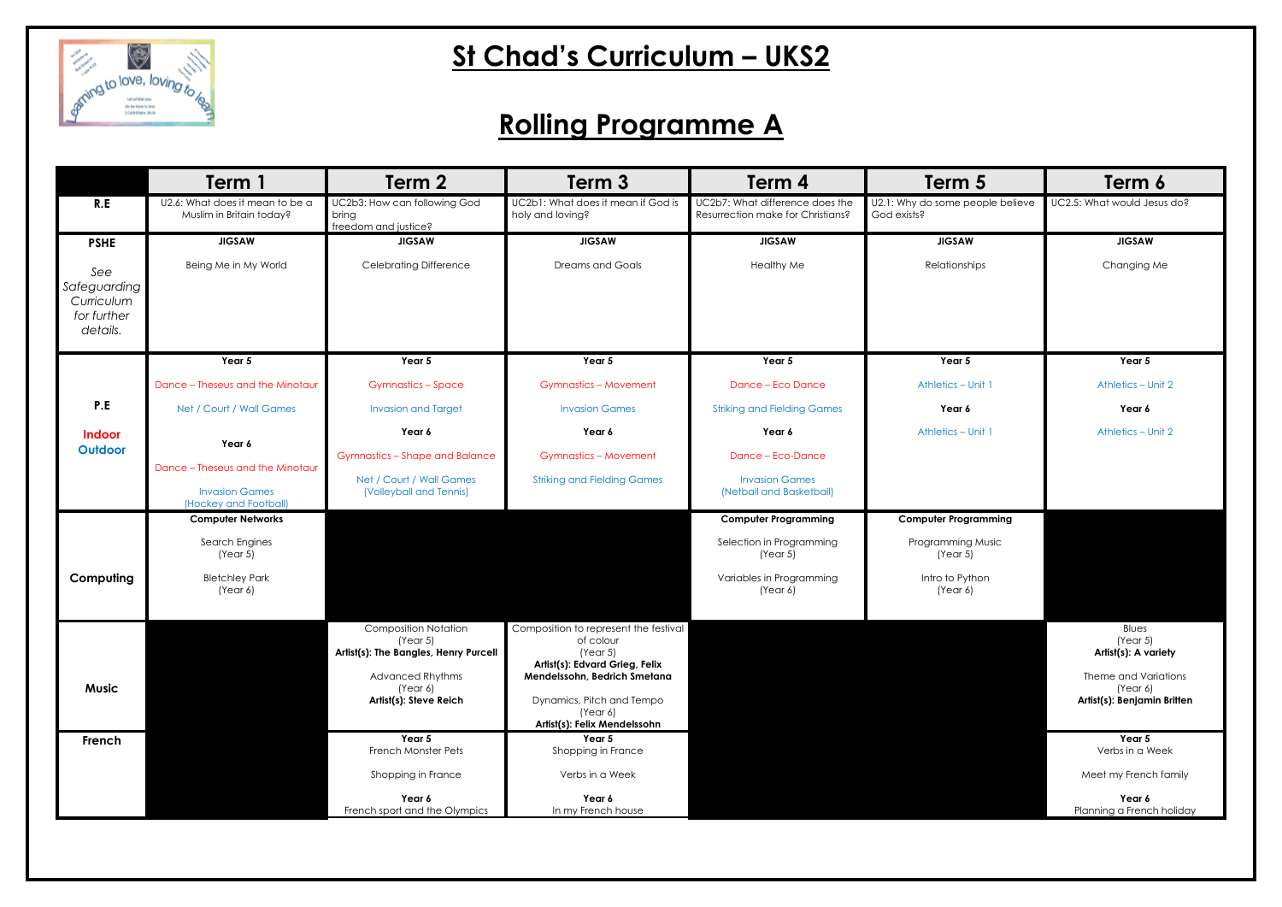

## **Rolling Programme A**

|                                                              | Term 1                                                                             | Term 2                                                                                                                                              | Term 3                                                                                                                                                        | Term 4                                                               | Term 5                                          | Term 6                                                                                                       |
|--------------------------------------------------------------|------------------------------------------------------------------------------------|-----------------------------------------------------------------------------------------------------------------------------------------------------|---------------------------------------------------------------------------------------------------------------------------------------------------------------|----------------------------------------------------------------------|-------------------------------------------------|--------------------------------------------------------------------------------------------------------------|
| R.E                                                          | U2.6: What does it mean to be a<br>Muslim in Britain today?                        | UC2b3: How can following God<br>bring<br>freedom and justice?                                                                                       | UC2b1: What does it mean if God is<br>holy and loving?                                                                                                        | UC2b7: What difference does the<br>Resurrection make for Christians? | U2.1: Why do some people believe<br>God exists? | UC2.5: What would Jesus do?                                                                                  |
| <b>PSHE</b>                                                  | <b>JIGSAW</b>                                                                      | <b>JIGSAW</b>                                                                                                                                       | <b>JIGSAW</b>                                                                                                                                                 | <b>JIGSAW</b>                                                        | <b>JIGSAW</b>                                   | <b>JIGSAW</b>                                                                                                |
| See<br>Safeguarding<br>Curriculum<br>for further<br>details. | Being Me in My World                                                               | <b>Celebrating Difference</b>                                                                                                                       | <b>Dreams and Goals</b>                                                                                                                                       | <b>Healthy Me</b>                                                    | Relationships                                   | Changing Me                                                                                                  |
|                                                              | Year 5                                                                             | Year 5                                                                                                                                              | Year 5                                                                                                                                                        | Year 5                                                               | Year 5                                          | Year 5                                                                                                       |
|                                                              | Dance - Theseus and the Minotaur                                                   | <b>Gymnastics - Space</b>                                                                                                                           | <b>Gymnastics - Movement</b>                                                                                                                                  | Dance - Eco Dance                                                    | Athletics - Unit 1                              | Athletics - Unit 2                                                                                           |
| P.E                                                          | Net / Court / Wall Games                                                           | <b>Invasion and Target</b>                                                                                                                          | <b>Invasion Games</b>                                                                                                                                         | <b>Striking and Fielding Games</b>                                   | Year 6                                          | Year 6                                                                                                       |
| <b>Indoor</b>                                                | Year 6                                                                             | Year 6                                                                                                                                              | Year 6                                                                                                                                                        | Year 6                                                               | Athletics - Unit 1                              | Athletics - Unit 2                                                                                           |
| Outdoor                                                      |                                                                                    | <b>Gymnastics - Shape and Balance</b>                                                                                                               | <b>Gymnastics - Movement</b>                                                                                                                                  | Dance - Eco-Dance                                                    |                                                 |                                                                                                              |
|                                                              | Dance - Theseus and the Minotaur<br><b>Invasion Games</b><br>(Hockey and Football) | Net / Court / Wall Games<br>(Volleyball and Tennis)                                                                                                 | <b>Striking and Fielding Games</b>                                                                                                                            | <b>Invasion Games</b><br>(Netball and Basketball)                    |                                                 |                                                                                                              |
|                                                              | <b>Computer Networks</b>                                                           |                                                                                                                                                     |                                                                                                                                                               | <b>Computer Programming</b>                                          | <b>Computer Programming</b>                     |                                                                                                              |
| Computing                                                    | Search Engines<br>(Year 5)                                                         |                                                                                                                                                     |                                                                                                                                                               | Selection in Programming<br>(Year 5)                                 | Programming Music<br>(Year 5)                   |                                                                                                              |
|                                                              | <b>Bletchley Park</b><br>(Year 6)                                                  |                                                                                                                                                     |                                                                                                                                                               | Variables in Programming<br>(Year 6)                                 | Intro to Python<br>(Year 6)                     |                                                                                                              |
| <b>Music</b>                                                 |                                                                                    | <b>Composition Notation</b><br>(Year 5)<br>Artist(s): The Bangles, Henry Purcell  <br><b>Advanced Rhythms</b><br>(Year 6)<br>Artist(s): Steve Reich | Composition to represent the festival<br>of colour<br>(Year 5)<br>Artist(s): Edvard Grieg, Felix<br>Mendelssohn, Bedrich Smetana<br>Dynamics, Pitch and Tempo |                                                                      |                                                 | Blues<br>(Year 5)<br>Artist(s): A variety<br>Theme and Variations<br>(Year 6)<br>Artist(s): Benjamin Britten |
|                                                              |                                                                                    |                                                                                                                                                     | (Year 6)<br>Artist(s): Felix Mendelssohn                                                                                                                      |                                                                      |                                                 |                                                                                                              |
| French                                                       |                                                                                    | Year 5<br>French Monster Pets                                                                                                                       | Year 5<br>Shopping in France                                                                                                                                  |                                                                      |                                                 | Year 5<br>Verbs in a Week                                                                                    |
|                                                              |                                                                                    | Shopping in France                                                                                                                                  | Verbs in a Week                                                                                                                                               |                                                                      |                                                 | Meet my French family                                                                                        |
|                                                              |                                                                                    | Year 6<br>French sport and the Olympics                                                                                                             | Year 6<br>In my French house                                                                                                                                  |                                                                      |                                                 | Year 6<br>Planning a French holiday                                                                          |